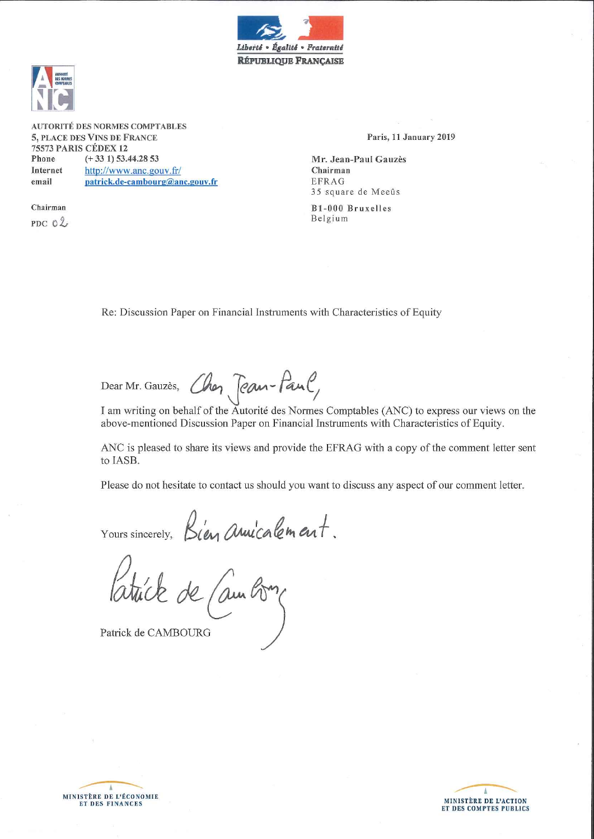



AUTORITÉ DES NORMES COMPTABLES 5, PLACE DES VINS DE FRANCE 75573 PARIS CÉDEX 12 Phone  $(+331)$  53.44.28 53 Internet http://www.anc.gouv.fr/ email patrick.de-cambourg@anc.gouv.fr

Chairman PDC  $02$  Paris, 11 January 2019

Mr. Jean-Paul Gauzès Chairman **EFRAG** 35 square de Meeûs

B1-000 Bruxelles Belgium

Re: Discussion Paper on Financial Instruments with Characteristics of Equity

Dear Mr. Gauzès,

Chan Team-Faul,

I am writing on behalf of the Autorité des Normes Comptables (ANC) to express our views on the above-mentioned Discussion Paper on Financial Instruments with Characteristics of Equity.

ANC is pleased to share its views and provide the EFRAG with a copy of the comment letter sent to IASB.

Please do not hesitate to contact us should you want to discuss any aspect of our comment letter.

Yours sincerely, Bien annicalement.

Patrick de CAMBOURG



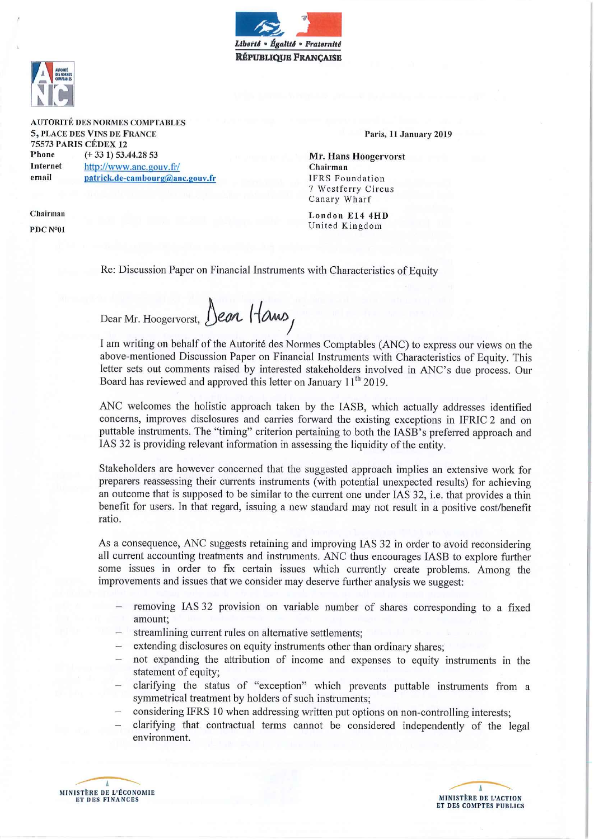



**AUTORITÉ DES NORMES COMPTABLES** 5, PLACE DES VINS DE FRANCE **75573 PARIS CÉDEX 12**  $(+331) 53.44.2853$ Phone **Internet** 

http://www.anc.gouv.fr/ patrick.de-cambourg@anc.gouv.fr

Chairman PDC Nº01

email

Paris, 11 January 2019

Mr. Hans Hoogervorst Chairman **IFRS** Foundation 7 Westferry Circus Canary Wharf

London E14 4HD United Kingdom

Re: Discussion Paper on Financial Instruments with Characteristics of Equity

Dear Mr. Hoogervorst, Dear Hams,

I am writing on behalf of the Autorité des Normes Comptables (ANC) to express our views on the above-mentioned Discussion Paper on Financial Instruments with Characteristics of Equity. This letter sets out comments raised by interested stakeholders involved in ANC's due process. Our Board has reviewed and approved this letter on January 11<sup>th</sup> 2019.

ANC welcomes the holistic approach taken by the IASB, which actually addresses identified concerns, improves disclosures and carries forward the existing exceptions in IFRIC 2 and on puttable instruments. The "timing" criterion pertaining to both the IASB's preferred approach and IAS 32 is providing relevant information in assessing the liquidity of the entity.

Stakeholders are however concerned that the suggested approach implies an extensive work for preparers reassessing their currents instruments (with potential unexpected results) for achieving an outcome that is supposed to be similar to the current one under IAS 32, i.e. that provides a thin benefit for users. In that regard, issuing a new standard may not result in a positive cost/benefit ratio.

As a consequence, ANC suggests retaining and improving IAS 32 in order to avoid reconsidering all current accounting treatments and instruments. ANC thus encourages IASB to explore further some issues in order to fix certain issues which currently create problems. Among the improvements and issues that we consider may deserve further analysis we suggest:

- removing IAS 32 provision on variable number of shares corresponding to a fixed amount:
- streamlining current rules on alternative settlements;
- extending disclosures on equity instruments other than ordinary shares;
- not expanding the attribution of income and expenses to equity instruments in the statement of equity;
- clarifying the status of "exception" which prevents puttable instruments from a symmetrical treatment by holders of such instruments;
- considering IFRS 10 when addressing written put options on non-controlling interests;
- clarifying that contractual terms cannot be considered independently of the legal environment.



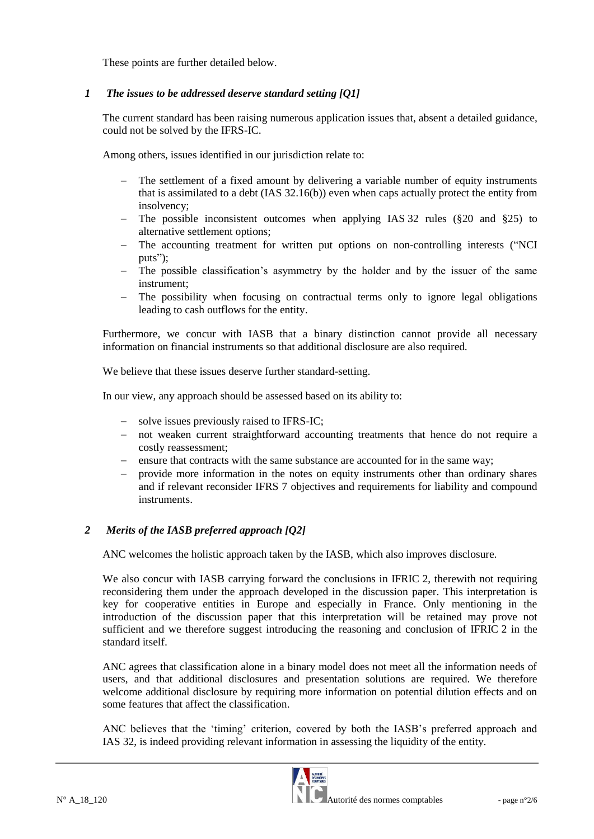These points are further detailed below.

## *1 The issues to be addressed deserve standard setting [Q1]*

The current standard has been raising numerous application issues that, absent a detailed guidance, could not be solved by the IFRS-IC.

Among others, issues identified in our jurisdiction relate to:

- The settlement of a fixed amount by delivering a variable number of equity instruments that is assimilated to a debt (IAS 32.16(b)) even when caps actually protect the entity from insolvency;
- The possible inconsistent outcomes when applying IAS 32 rules (§20 and §25) to alternative settlement options;
- The accounting treatment for written put options on non-controlling interests ("NCI puts");
- The possible classification's asymmetry by the holder and by the issuer of the same instrument;
- The possibility when focusing on contractual terms only to ignore legal obligations leading to cash outflows for the entity.

Furthermore, we concur with IASB that a binary distinction cannot provide all necessary information on financial instruments so that additional disclosure are also required.

We believe that these issues deserve further standard-setting.

In our view, any approach should be assessed based on its ability to:

- solve issues previously raised to IFRS-IC;
- not weaken current straightforward accounting treatments that hence do not require a costly reassessment;
- ensure that contracts with the same substance are accounted for in the same way;
- provide more information in the notes on equity instruments other than ordinary shares and if relevant reconsider IFRS 7 objectives and requirements for liability and compound instruments.

## *2 Merits of the IASB preferred approach [Q2]*

ANC welcomes the holistic approach taken by the IASB, which also improves disclosure.

We also concur with IASB carrying forward the conclusions in IFRIC 2, therewith not requiring reconsidering them under the approach developed in the discussion paper. This interpretation is key for cooperative entities in Europe and especially in France. Only mentioning in the introduction of the discussion paper that this interpretation will be retained may prove not sufficient and we therefore suggest introducing the reasoning and conclusion of IFRIC 2 in the standard itself.

ANC agrees that classification alone in a binary model does not meet all the information needs of users, and that additional disclosures and presentation solutions are required. We therefore welcome additional disclosure by requiring more information on potential dilution effects and on some features that affect the classification.

ANC believes that the 'timing' criterion, covered by both the IASB's preferred approach and IAS 32, is indeed providing relevant information in assessing the liquidity of the entity.

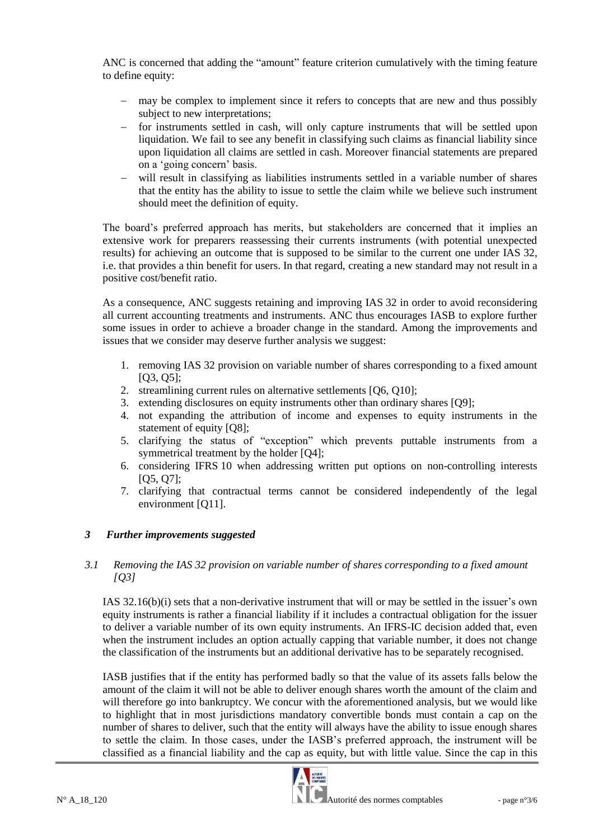ANC is concerned that adding the "amount" feature criterion cumulatively with the timing feature to define equity:

- may be complex to implement since it refers to concepts that are new and thus possibly subject to new interpretations;
- for instruments settled in cash, will only capture instruments that will be settled upon liquidation. We fail to see any benefit in classifying such claims as financial liability since upon liquidation all claims are settled in cash. Moreover financial statements are prepared on a 'going concern' basis.
- will result in classifying as liabilities instruments settled in a variable number of shares that the entity has the ability to issue to settle the claim while we believe such instrument should meet the definition of equity.

The board's preferred approach has merits, but stakeholders are concerned that it implies an extensive work for preparers reassessing their currents instruments (with potential unexpected results) for achieving an outcome that is supposed to be similar to the current one under IAS 32, i.e. that provides a thin benefit for users. In that regard, creating a new standard may not result in a positive cost/benefit ratio.

As a consequence, ANC suggests retaining and improving IAS 32 in order to avoid reconsidering all current accounting treatments and instruments. ANC thus encourages IASB to explore further some issues in order to achieve a broader change in the standard. Among the improvements and issues that we consider may deserve further analysis we suggest:

- 1. removing IAS 32 provision on variable number of shares corresponding to a fixed amount [Q3, Q5];
- 2. streamlining current rules on alternative settlements [Q6, Q10];
- 3. extending disclosures on equity instruments other than ordinary shares [Q9];
- 4. not expanding the attribution of income and expenses to equity instruments in the statement of equity [Q8];
- 5. clarifying the status of "exception" which prevents puttable instruments from a symmetrical treatment by the holder [Q4];
- 6. considering IFRS 10 when addressing written put options on non-controlling interests [Q5, Q7];
- 7. clarifying that contractual terms cannot be considered independently of the legal environment [Q11].

## *3 Further improvements suggested*

#### *3.1 Removing the IAS 32 provision on variable number of shares corresponding to a fixed amount [Q3]*

IAS 32.16(b)(i) sets that a non-derivative instrument that will or may be settled in the issuer's own equity instruments is rather a financial liability if it includes a contractual obligation for the issuer to deliver a variable number of its own equity instruments. An IFRS-IC decision added that, even when the instrument includes an option actually capping that variable number, it does not change the classification of the instruments but an additional derivative has to be separately recognised.

IASB justifies that if the entity has performed badly so that the value of its assets falls below the amount of the claim it will not be able to deliver enough shares worth the amount of the claim and will therefore go into bankruptcy. We concur with the aforementioned analysis, but we would like to highlight that in most jurisdictions mandatory convertible bonds must contain a cap on the number of shares to deliver, such that the entity will always have the ability to issue enough shares to settle the claim. In those cases, under the IASB's preferred approach, the instrument will be classified as a financial liability and the cap as equity, but with little value. Since the cap in this

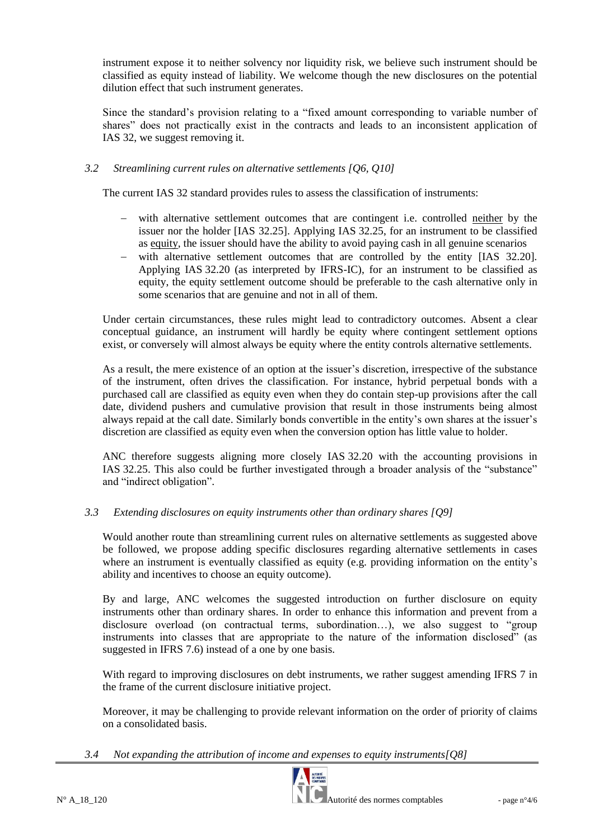instrument expose it to neither solvency nor liquidity risk, we believe such instrument should be classified as equity instead of liability. We welcome though the new disclosures on the potential dilution effect that such instrument generates.

Since the standard's provision relating to a "fixed amount corresponding to variable number of shares" does not practically exist in the contracts and leads to an inconsistent application of IAS 32, we suggest removing it.

## *3.2 Streamlining current rules on alternative settlements [Q6, Q10]*

The current IAS 32 standard provides rules to assess the classification of instruments:

- with alternative settlement outcomes that are contingent i.e. controlled neither by the issuer nor the holder [IAS 32.25]. Applying IAS 32.25, for an instrument to be classified as equity, the issuer should have the ability to avoid paying cash in all genuine scenarios
- with alternative settlement outcomes that are controlled by the entity [IAS 32.20]. Applying IAS 32.20 (as interpreted by IFRS-IC), for an instrument to be classified as equity, the equity settlement outcome should be preferable to the cash alternative only in some scenarios that are genuine and not in all of them.

Under certain circumstances, these rules might lead to contradictory outcomes. Absent a clear conceptual guidance, an instrument will hardly be equity where contingent settlement options exist, or conversely will almost always be equity where the entity controls alternative settlements.

As a result, the mere existence of an option at the issuer's discretion, irrespective of the substance of the instrument, often drives the classification. For instance, hybrid perpetual bonds with a purchased call are classified as equity even when they do contain step-up provisions after the call date, dividend pushers and cumulative provision that result in those instruments being almost always repaid at the call date. Similarly bonds convertible in the entity's own shares at the issuer's discretion are classified as equity even when the conversion option has little value to holder.

ANC therefore suggests aligning more closely IAS 32.20 with the accounting provisions in IAS 32.25. This also could be further investigated through a broader analysis of the "substance" and "indirect obligation".

# *3.3 Extending disclosures on equity instruments other than ordinary shares [Q9]*

Would another route than streamlining current rules on alternative settlements as suggested above be followed, we propose adding specific disclosures regarding alternative settlements in cases where an instrument is eventually classified as equity (e.g. providing information on the entity's ability and incentives to choose an equity outcome).

By and large, ANC welcomes the suggested introduction on further disclosure on equity instruments other than ordinary shares. In order to enhance this information and prevent from a disclosure overload (on contractual terms, subordination…), we also suggest to "group instruments into classes that are appropriate to the nature of the information disclosed" (as suggested in IFRS 7.6) instead of a one by one basis.

With regard to improving disclosures on debt instruments, we rather suggest amending IFRS 7 in the frame of the current disclosure initiative project.

Moreover, it may be challenging to provide relevant information on the order of priority of claims on a consolidated basis.

*3.4 Not expanding the attribution of income and expenses to equity instruments[Q8]*

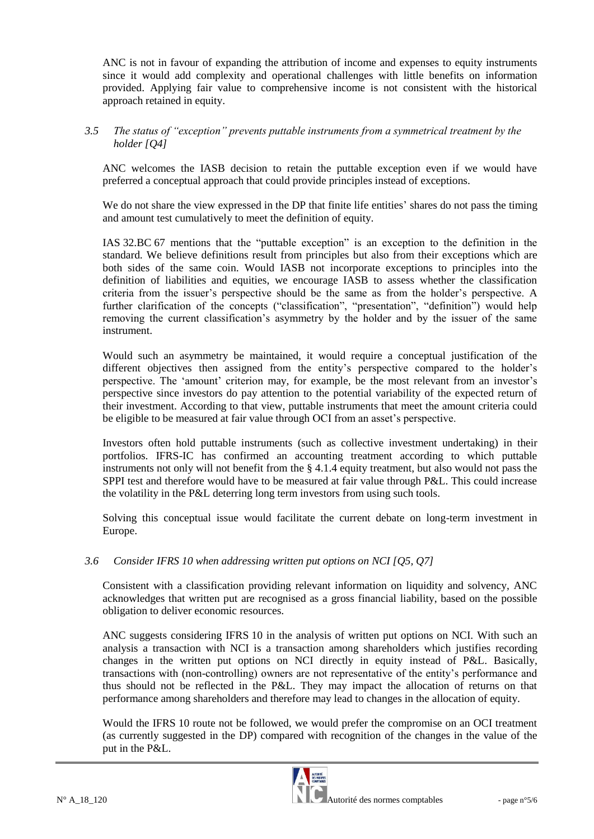ANC is not in favour of expanding the attribution of income and expenses to equity instruments since it would add complexity and operational challenges with little benefits on information provided. Applying fair value to comprehensive income is not consistent with the historical approach retained in equity.

## *3.5 The status of "exception" prevents puttable instruments from a symmetrical treatment by the holder [Q4]*

ANC welcomes the IASB decision to retain the puttable exception even if we would have preferred a conceptual approach that could provide principles instead of exceptions.

We do not share the view expressed in the DP that finite life entities' shares do not pass the timing and amount test cumulatively to meet the definition of equity.

IAS 32.BC 67 mentions that the "puttable exception" is an exception to the definition in the standard. We believe definitions result from principles but also from their exceptions which are both sides of the same coin. Would IASB not incorporate exceptions to principles into the definition of liabilities and equities, we encourage IASB to assess whether the classification criteria from the issuer's perspective should be the same as from the holder's perspective. A further clarification of the concepts ("classification", "presentation", "definition") would help removing the current classification's asymmetry by the holder and by the issuer of the same instrument.

Would such an asymmetry be maintained, it would require a conceptual justification of the different objectives then assigned from the entity's perspective compared to the holder's perspective. The 'amount' criterion may, for example, be the most relevant from an investor's perspective since investors do pay attention to the potential variability of the expected return of their investment. According to that view, puttable instruments that meet the amount criteria could be eligible to be measured at fair value through OCI from an asset's perspective.

Investors often hold puttable instruments (such as collective investment undertaking) in their portfolios. IFRS-IC has confirmed an accounting treatment according to which puttable instruments not only will not benefit from the § 4.1.4 equity treatment, but also would not pass the SPPI test and therefore would have to be measured at fair value through P&L. This could increase the volatility in the P&L deterring long term investors from using such tools.

Solving this conceptual issue would facilitate the current debate on long-term investment in Europe.

## *3.6 Consider IFRS 10 when addressing written put options on NCI [Q5, Q7]*

Consistent with a classification providing relevant information on liquidity and solvency, ANC acknowledges that written put are recognised as a gross financial liability, based on the possible obligation to deliver economic resources.

ANC suggests considering IFRS 10 in the analysis of written put options on NCI. With such an analysis a transaction with NCI is a transaction among shareholders which justifies recording changes in the written put options on NCI directly in equity instead of P&L. Basically, transactions with (non-controlling) owners are not representative of the entity's performance and thus should not be reflected in the P&L. They may impact the allocation of returns on that performance among shareholders and therefore may lead to changes in the allocation of equity.

Would the IFRS 10 route not be followed, we would prefer the compromise on an OCI treatment (as currently suggested in the DP) compared with recognition of the changes in the value of the put in the P&L.